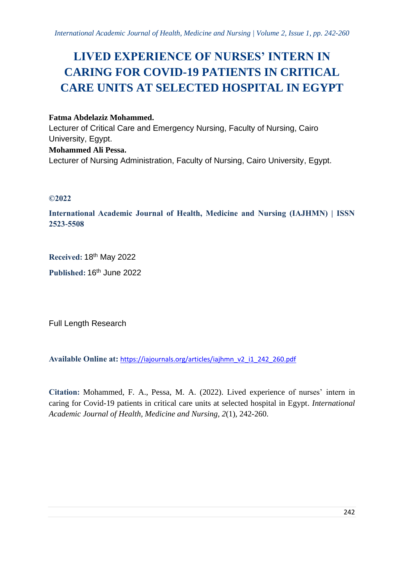# **LIVED EXPERIENCE OF NURSES' INTERN IN CARING FOR COVID-19 PATIENTS IN CRITICAL CARE UNITS AT SELECTED HOSPITAL IN EGYPT**

**Fatma Abdelaziz Mohammed.** Lecturer of Critical Care and Emergency Nursing, Faculty of Nursing, Cairo University, Egypt. **Mohammed Ali Pessa.** Lecturer of Nursing Administration, Faculty of Nursing, Cairo University, Egypt.

# **©2022**

**International Academic Journal of Health, Medicine and Nursing (IAJHMN) | ISSN 2523-5508**

**Received:** 18th May 2022 **Published:** 16th June 2022

Full Length Research

**Available Online at:** [https://iajournals.org/articles/iajhmn\\_v2\\_i1\\_242\\_260.pdf](https://iajournals.org/articles/iajhmn_v2_i1_242_260.pdf)

**Citation:** Mohammed, F. A., Pessa, M. A. (2022). Lived experience of nurses' intern in caring for Covid-19 patients in critical care units at selected hospital in Egypt. *International Academic Journal of Health, Medicine and Nursing, 2*(1), 242-260.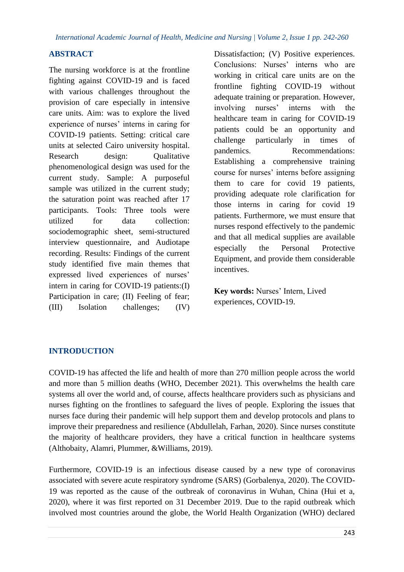# **ABSTRACT**

The nursing workforce is at the frontline fighting against COVID-19 and is faced with various challenges throughout the provision of care especially in intensive care units. Aim: was to explore the lived experience of nurses' interns in caring for COVID-19 patients. Setting: critical care units at selected Cairo university hospital. Research design: Qualitative phenomenological design was used for the current study. Sample: A purposeful sample was utilized in the current study; the saturation point was reached after 17 participants. Tools: Three tools were utilized for data collection: sociodemographic sheet, semi-structured interview questionnaire, and Audiotape recording. Results: Findings of the current study identified five main themes that expressed lived experiences of nurses' intern in caring for COVID-19 patients:(I) Participation in care; (II) Feeling of fear; (III) Isolation challenges; (IV) Dissatisfaction; (V) Positive experiences. Conclusions: Nurses' interns who are working in critical care units are on the frontline fighting COVID-19 without adequate training or preparation. However, involving nurses' interns with the healthcare team in caring for COVID-19 patients could be an opportunity and challenge particularly in times of pandemics. Recommendations: Establishing a comprehensive training course for nurses' interns before assigning them to care for covid 19 patients, providing adequate role clarification for those interns in caring for covid 19 patients. Furthermore, we must ensure that nurses respond effectively to the pandemic and that all medical supplies are available especially the Personal Protective Equipment, and provide them considerable incentives.

**Key words:** Nurses' Intern, Lived experiences, COVID-19.

# **INTRODUCTION**

COVID-19 has affected the life and health of more than 270 million people across the world and more than 5 million deaths (WHO, December 2021). This overwhelms the health care systems all over the world and, of course, affects healthcare providers such as physicians and nurses fighting on the frontlines to safeguard the lives of people. Exploring the issues that nurses face during their pandemic will help support them and develop protocols and plans to improve their preparedness and resilience (Abdullelah, Farhan, 2020). Since nurses constitute the majority of healthcare providers, they have a critical function in healthcare systems (Althobaity, Alamri, Plummer, &Williams, 2019).

Furthermore, COVID-19 is an infectious disease caused by a new type of coronavirus associated with severe acute respiratory syndrome (SARS) (Gorbalenya, 2020). The COVID-19 was reported as the cause of the outbreak of coronavirus in Wuhan, China (Hui et a, 2020), where it was first reported on 31 December 2019. Due to the rapid outbreak which involved most countries around the globe, the World Health Organization (WHO) declared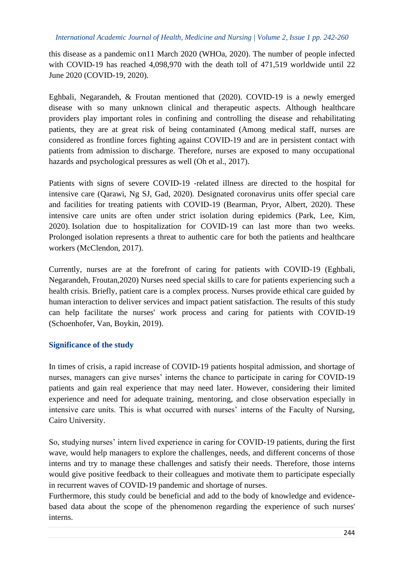this disease as a pandemic on11 March 2020 (WHOa, 2020). The number of people infected with COVID-19 has reached 4,098,970 with the death toll of 471,519 worldwide until 22 June 2020 (COVID-19, 2020).

Eghbali, Negarandeh, & Froutan mentioned that (2020). COVID-19 is a newly emerged disease with so many unknown clinical and therapeutic aspects. Although healthcare providers play important roles in confining and controlling the disease and rehabilitating patients, they are at great risk of being contaminated (Among medical staff, nurses are considered as frontline forces fighting against COVID-19 and are in persistent contact with patients from admission to discharge. Therefore, nurses are exposed to many occupational hazards and psychological pressures as well (Oh et al., 2017).

Patients with signs of severe COVID-19 -related illness are directed to the hospital for intensive care (Qarawi, Ng SJ, Gad, 2020). Designated coronavirus units offer special care and facilities for treating patients with COVID-19 (Bearman, Pryor, Albert, 2020). These intensive care units are often under strict isolation during epidemics (Park, Lee, Kim, 2020). Isolation due to hospitalization for COVID-19 can last more than two weeks. Prolonged isolation represents a threat to authentic care for both the patients and healthcare workers (McClendon, 2017).

Currently, nurses are at the forefront of caring for patients with COVID-19 (Eghbali, Negarandeh, Froutan,2020) Nurses need special skills to care for patients experiencing such a health crisis. Briefly, patient care is a complex process. Nurses provide ethical care guided by human interaction to deliver services and impact patient satisfaction. The results of this study can help facilitate the nurses' work process and caring for patients with COVID-19 (Schoenhofer, Van, Boykin, 2019).

# **Significance of the study**

In times of crisis, a rapid increase of COVID-19 patients hospital admission, and shortage of nurses, managers can give nurses' interns the chance to participate in caring for COVID-19 patients and gain real experience that may need later. However, considering their limited experience and need for adequate training, mentoring, and close observation especially in intensive care units. This is what occurred with nurses' interns of the Faculty of Nursing, Cairo University.

So, studying nurses' intern lived experience in caring for COVID-19 patients, during the first wave, would help managers to explore the challenges, needs, and different concerns of those interns and try to manage these challenges and satisfy their needs. Therefore, those interns would give positive feedback to their colleagues and motivate them to participate especially in recurrent waves of COVID-19 pandemic and shortage of nurses.

Furthermore, this study could be beneficial and add to the body of knowledge and evidencebased data about the scope of the phenomenon regarding the experience of such nurses' interns.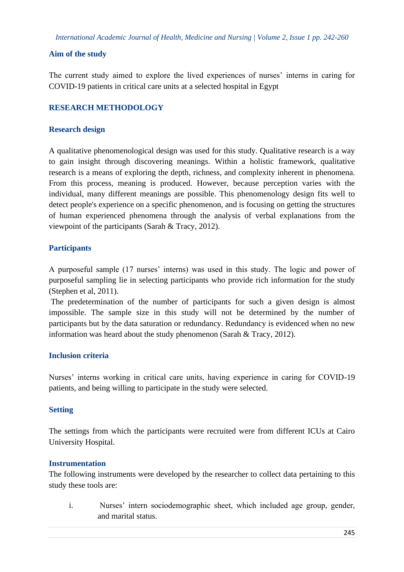# **Aim of the study**

The current study aimed to explore the lived experiences of nurses' interns in caring for COVID-19 patients in critical care units at a selected hospital in Egypt

# **RESEARCH METHODOLOGY**

#### **Research design**

A qualitative phenomenological design was used for this study. Qualitative research is a way to gain insight through discovering meanings. Within a holistic framework, qualitative research is a means of exploring the depth, richness, and complexity inherent in phenomena. From this process, meaning is produced. However, because perception varies with the individual, many different meanings are possible. This phenomenology design fits well to detect people's experience on a specific phenomenon, and is focusing on getting the structures of human experienced phenomena through the analysis of verbal explanations from the viewpoint of the participants [\(Sarah & Tracy,](http://www.google.com.eg/search?hl=ar&tbo=p&tbm=bks&q=inauthor:%22Sarah+J.+Tracy%22) 2012).

# **Participants**

A purposeful sample (17 nurses' interns) was used in this study. The logic and power of purposeful sampling lie in selecting participants who provide rich information for the study (Stephen et al, 2011).

The predetermination of the number of participants for such a given design is almost impossible. The sample size in this study will not be determined by the number of participants but by the data saturation or redundancy. Redundancy is evidenced when no new information was heard about the study phenomenon [\(Sarah & Tracy,](http://www.google.com.eg/search?hl=ar&tbo=p&tbm=bks&q=inauthor:%22Sarah+J.+Tracy%22) 2012).

# **Inclusion criteria**

Nurses' interns working in critical care units, having experience in caring for COVID-19 patients, and being willing to participate in the study were selected.

# **Setting**

The settings from which the participants were recruited were from different ICUs at Cairo University Hospital.

# **Instrumentation**

The following instruments were developed by the researcher to collect data pertaining to this study these tools are:

i. Nurses' intern sociodemographic sheet, which included age group, gender, and marital status.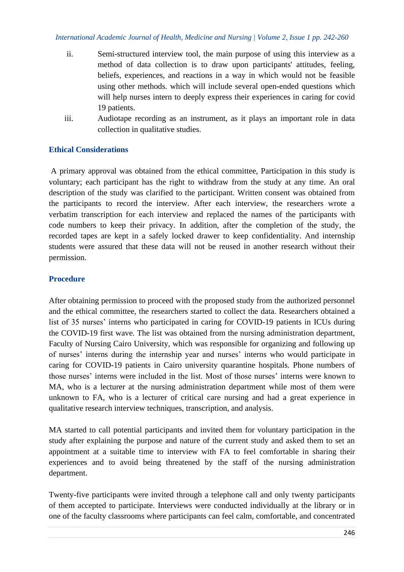- ii. Semi-structured interview tool, the main purpose of using this interview as a method of data collection is to draw upon participants' attitudes, feeling, beliefs, experiences, and reactions in a way in which would not be feasible using other methods. which will include several open-ended questions which will help nurses intern to deeply express their experiences in caring for covid 19 patients.
- iii. Audiotape recording as an instrument, as it plays an important role in data collection in qualitative studies.

# **Ethical Considerations**

A primary approval was obtained from the ethical committee, Participation in this study is voluntary; each participant has the right to withdraw from the study at any time. An oral description of the study was clarified to the participant. Written consent was obtained from the participants to record the interview. After each interview, the researchers wrote a verbatim transcription for each interview and replaced the names of the participants with code numbers to keep their privacy. In addition, after the completion of the study, the recorded tapes are kept in a safely locked drawer to keep confidentiality. And internship students were assured that these data will not be reused in another research without their permission.

# **Procedure**

After obtaining permission to proceed with the proposed study from the authorized personnel and the ethical committee, the researchers started to collect the data. Researchers obtained a list of 35 nurses' interns who participated in caring for COVID-19 patients in ICUs during the COVID-19 first wave. The list was obtained from the nursing administration department, Faculty of Nursing Cairo University, which was responsible for organizing and following up of nurses' interns during the internship year and nurses' interns who would participate in caring for COVID-19 patients in Cairo university quarantine hospitals. Phone numbers of those nurses' interns were included in the list. Most of those nurses' interns were known to MA, who is a lecturer at the nursing administration department while most of them were unknown to FA, who is a lecturer of critical care nursing and had a great experience in qualitative research interview techniques, transcription, and analysis.

MA started to call potential participants and invited them for voluntary participation in the study after explaining the purpose and nature of the current study and asked them to set an appointment at a suitable time to interview with FA to feel comfortable in sharing their experiences and to avoid being threatened by the staff of the nursing administration department.

Twenty-five participants were invited through a telephone call and only twenty participants of them accepted to participate. Interviews were conducted individually at the library or in one of the faculty classrooms where participants can feel calm, comfortable, and concentrated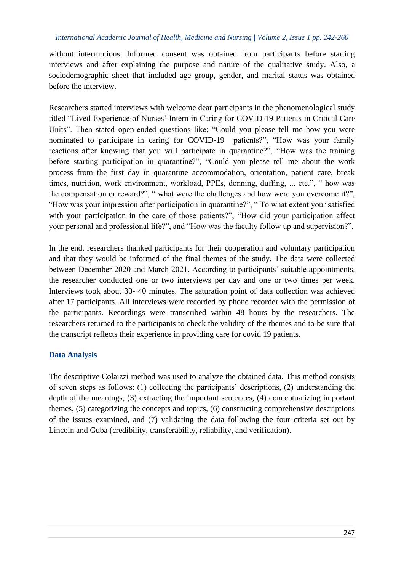without interruptions. Informed consent was obtained from participants before starting interviews and after explaining the purpose and nature of the qualitative study. Also, a sociodemographic sheet that included age group, gender, and marital status was obtained before the interview.

Researchers started interviews with welcome dear participants in the phenomenological study titled "Lived Experience of Nurses' Intern in Caring for COVID-19 Patients in Critical Care Units". Then stated open-ended questions like; "Could you please tell me how you were nominated to participate in caring for COVID-19 patients?", "How was your family reactions after knowing that you will participate in quarantine?", "How was the training before starting participation in quarantine?", "Could you please tell me about the work process from the first day in quarantine accommodation, orientation, patient care, break times, nutrition, work environment, workload, PPEs, donning, duffing, ... etc.", " how was the compensation or reward?", " what were the challenges and how were you overcome it?", "How was your impression after participation in quarantine?", " To what extent your satisfied with your participation in the care of those patients?", "How did your participation affect your personal and professional life?", and "How was the faculty follow up and supervision?".

In the end, researchers thanked participants for their cooperation and voluntary participation and that they would be informed of the final themes of the study. The data were collected between December 2020 and March 2021. According to participants' suitable appointments, the researcher conducted one or two interviews per day and one or two times per week. Interviews took about 30- 40 minutes. The saturation point of data collection was achieved after 17 participants. All interviews were recorded by phone recorder with the permission of the participants. Recordings were transcribed within 48 hours by the researchers. The researchers returned to the participants to check the validity of the themes and to be sure that the transcript reflects their experience in providing care for covid 19 patients.

#### **Data Analysis**

The descriptive Colaizzi method was used to analyze the obtained data. This method consists of seven steps as follows: (1) collecting the participants' descriptions, (2) understanding the depth of the meanings, (3) extracting the important sentences, (4) conceptualizing important themes, (5) categorizing the concepts and topics, (6) constructing comprehensive descriptions of the issues examined, and (7) validating the data following the four criteria set out by Lincoln and Guba (credibility, transferability, reliability, and verification).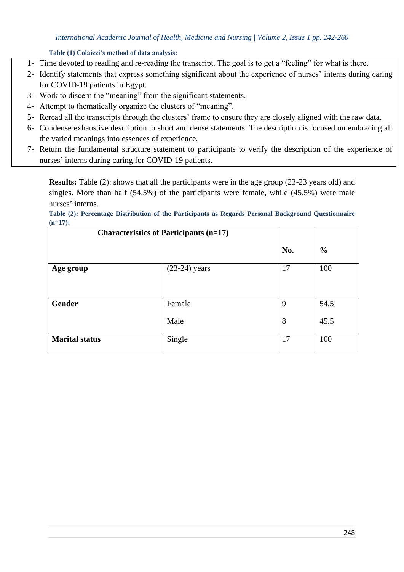#### **Table (1) Colaizzi's method of data analysis:**

- 1- Time devoted to reading and re-reading the transcript. The goal is to get a "feeling" for what is there.
- 2- Identify statements that express something significant about the experience of nurses' interns during caring for COVID-19 patients in Egypt.
- 3- Work to discern the "meaning" from the significant statements.
- 4- Attempt to thematically organize the clusters of "meaning".
- 5- Reread all the transcripts through the clusters' frame to ensure they are closely aligned with the raw data.
- 6- Condense exhaustive description to short and dense statements. The description is focused on embracing all the varied meanings into essences of experience.
- 7- Return the fundamental structure statement to participants to verify the description of the experience of nurses' interns during caring for COVID-19 patients.

**Results:** Table (2): shows that all the participants were in the age group (23-23 years old) and singles. More than half (54.5%) of the participants were female, while (45.5%) were male nurses' interns.

#### **Table (2): Percentage Distribution of the Participants as Regards Personal Background Questionnaire (n=17):**

| <b>Characteristics of Participants (n=17)</b> |                 |        |               |
|-----------------------------------------------|-----------------|--------|---------------|
|                                               |                 | No.    | $\frac{0}{0}$ |
| Age group                                     | $(23-24)$ years | 17     | 100           |
| <b>Gender</b>                                 | Female<br>Male  | 9<br>8 | 54.5<br>45.5  |
| <b>Marital status</b>                         | Single          | 17     | 100           |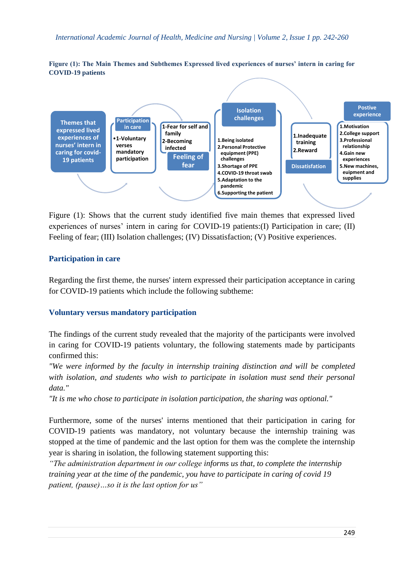#### **Figure (1): The Main Themes and Subthemes Expressed lived experiences of nurses' intern in caring for COVID-19 patients**



Figure (1): Shows that the current study identified five main themes that expressed lived experiences of nurses' intern in caring for COVID-19 patients:(I) Participation in care; (II) Feeling of fear; (III) Isolation challenges; (IV) Dissatisfaction; (V) Positive experiences.

# **Participation in care**

Regarding the first theme, the nurses' intern expressed their participation acceptance in caring for COVID-19 patients which include the following subtheme:

# **Voluntary versus mandatory participation**

The findings of the current study revealed that the majority of the participants were involved in caring for COVID-19 patients voluntary, the following statements made by participants confirmed this:

*"We were informed by the faculty in internship training distinction and will be completed with isolation, and students who wish to participate in isolation must send their personal data."*

*"It is me who chose to participate in isolation participation, the sharing was optional."*

Furthermore, some of the nurses' interns mentioned that their participation in caring for COVID-19 patients was mandatory, not voluntary because the internship training was stopped at the time of pandemic and the last option for them was the complete the internship year is sharing in isolation, the following statement supporting this:

*"The administration department in our college informs us that, to complete the internship training year at the time of the pandemic, you have to participate in caring of covid 19 patient, (pause)…so it is the last option for us"*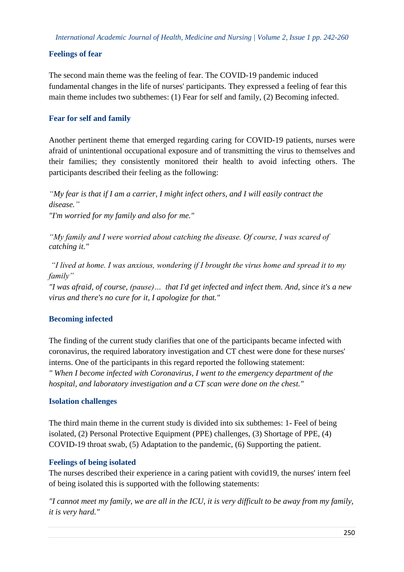# **Feelings of fear**

The second main theme was the feeling of fear. The COVID-19 pandemic induced fundamental changes in the life of nurses' participants. They expressed a feeling of fear this main theme includes two subthemes: (1) Fear for self and family, (2) Becoming infected.

# **Fear for self and family**

Another pertinent theme that emerged regarding caring for COVID-19 patients, nurses were afraid of unintentional occupational exposure and of transmitting the virus to themselves and their families; they consistently monitored their health to avoid infecting others. The participants described their feeling as the following:

*"My fear is that if I am a carrier, I might infect others, and I will easily contract the disease." "I'm worried for my family and also for me."*

*"My family and I were worried about catching the disease. Of course, I was scared of catching it."* 

*"I lived at home. I was anxious, wondering if I brought the virus home and spread it to my family"*

*"I was afraid, of course, (pause)… that I'd get infected and infect them. And, since it's a new virus and there's no cure for it, I apologize for that."* 

# **Becoming infected**

The finding of the current study clarifies that one of the participants became infected with coronavirus, the required laboratory investigation and CT chest were done for these nurses' interns. One of the participants in this regard reported the following statement: *" When I become infected with Coronavirus, I went to the emergency department of the hospital, and laboratory investigation and a CT scan were done on the chest."*

# **Isolation challenges**

The third main theme in the current study is divided into six subthemes: 1- Feel of being isolated, (2) Personal Protective Equipment (PPE) challenges, (3) Shortage of PPE, (4) COVID-19 throat swab, (5) Adaptation to the pandemic, (6) Supporting the patient.

# **Feelings of being isolated**

The nurses described their experience in a caring patient with covid19, the nurses' intern feel of being isolated this is supported with the following statements:

*"I cannot meet my family, we are all in the ICU, it is very difficult to be away from my family, it is very hard."*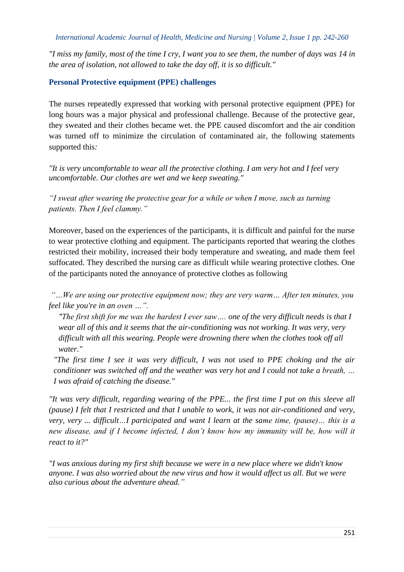*"I miss my family, most of the time I cry, I want you to see them, the number of days was 14 in the area of isolation, not allowed to take the day off, it is so difficult."*

#### **Personal Protective equipment (PPE) challenges**

The nurses repeatedly expressed that working with personal protective equipment (PPE) for long hours was a major physical and professional challenge. Because of the protective gear, they sweated and their clothes became wet. the PPE caused discomfort and the air condition was turned off to minimize the circulation of contaminated air, the following statements supported this*:*

*"It is very uncomfortable to wear all the protective clothing. I am very hot and I feel very uncomfortable. Our clothes are wet and we keep sweating."*

*"I sweat after wearing the protective gear for a while or when I move, such as turning patients. Then I feel clammy."*

Moreover, based on the experiences of the participants, it is difficult and painful for the nurse to wear protective clothing and equipment. The participants reported that wearing the clothes restricted their mobility, increased their body temperature and sweating, and made them feel suffocated. They described the nursing care as difficult while wearing protective clothes. One of the participants noted the annoyance of protective clothes as following

*"…We are using our protective equipment now; they are very warm… After ten minutes, you feel like you're in an oven …".*

*"The first shift for me was the hardest I ever saw…. one of the very difficult needs is that I wear all of this and it seems that the air-conditioning was not working. It was very, very difficult with all this wearing. People were drowning there when the clothes took off all water."*

*"The first time I see it was very difficult, I was not used to PPE choking and the air conditioner was switched off and the weather was very hot and I could not take a breath, … I was afraid of catching the disease."*

*"It was very difficult, regarding wearing of the PPE... the first time I put on this sleeve all (pause) I felt that I restricted and that I unable to work, it was not air-conditioned and very, very, very ... difficult…I participated and want I learn at the same time, (pause)… this is a new disease, and if I become infected, I don't know how my immunity will be, how will it react to it?"*

*"I was anxious during my first shift because we were in a new place where we didn't know anyone. I was also worried about the new virus and how it would affect us all. But we were also curious about the adventure ahead."*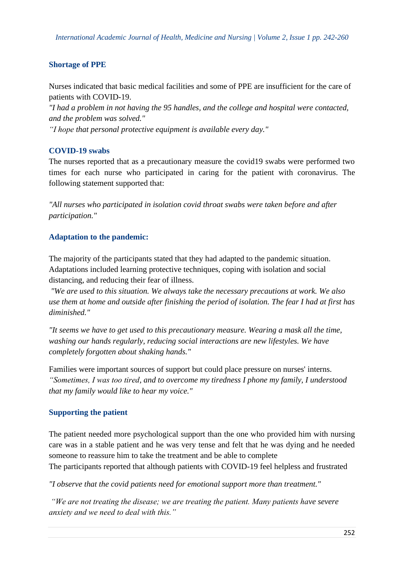# **Shortage of PPE**

Nurses indicated that basic medical facilities and some of PPE are insufficient for the care of patients with COVID-19.

*"I had a problem in not having the 95 handles, and the college and hospital were contacted, and the problem was solved."*

*"I hope that personal protective equipment is available every day."*

# **COVID-19 swabs**

The nurses reported that as a precautionary measure the covid19 swabs were performed two times for each nurse who participated in caring for the patient with coronavirus. The following statement supported that:

*"All nurses who participated in isolation covid throat swabs were taken before and after participation."*

# **Adaptation to the pandemic:**

The majority of the participants stated that they had adapted to the pandemic situation. Adaptations included learning protective techniques, coping with isolation and social distancing, and reducing their fear of illness.

*"We are used to this situation. We always take the necessary precautions at work. We also use them at home and outside after finishing the period of isolation. The fear I had at first has diminished."*

*"It seems we have to get used to this precautionary measure. Wearing a mask all the time, washing our hands regularly, reducing social interactions are new lifestyles. We have completely forgotten about shaking hands."*

Families were important sources of support but could place pressure on nurses' interns. *"Sometimes, I was too tired, and to overcome my tiredness I phone my family, I understood that my family would like to hear my voice."*

# **Supporting the patient**

The patient needed more psychological support than the one who provided him with nursing care was in a stable patient and he was very tense and felt that he was dying and he needed someone to reassure him to take the treatment and be able to complete The participants reported that although patients with COVID-19 feel helpless and frustrated

*"I observe that the covid patients need for emotional support more than treatment."*

*"We are not treating the disease; we are treating the patient. Many patients have severe anxiety and we need to deal with this."*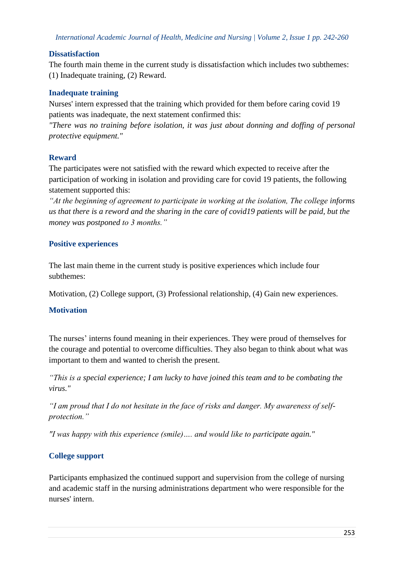# **Dissatisfaction**

The fourth main theme in the current study is dissatisfaction which includes two subthemes: (1) Inadequate training, (2) Reward.

#### **Inadequate training**

Nurses' intern expressed that the training which provided for them before caring covid 19 patients was inadequate, the next statement confirmed this:

*"There was no training before isolation, it was just about donning and doffing of personal protective equipment."*

#### **Reward**

The participates were not satisfied with the reward which expected to receive after the participation of working in isolation and providing care for covid 19 patients, the following statement supported this:

*"At the beginning of agreement to participate in working at the isolation, The college informs us that there is a reword and the sharing in the care of covid19 patients will be paid, but the money was postponed to 3 months."*

# **Positive experiences**

The last main theme in the current study is positive experiences which include four subthemes:

Motivation, (2) College support, (3) Professional relationship, (4) Gain new experiences.

# **Motivation**

The nurses' interns found meaning in their experiences. They were proud of themselves for the courage and potential to overcome difficulties. They also began to think about what was important to them and wanted to cherish the present.

*"This is a special experience; I am lucky to have joined this team and to be combating the virus."*

*"I am proud that I do not hesitate in the face of risks and danger. My awareness of selfprotection."*

*"I was happy with this experience (smile)…. and would like to participate again."*

# **College support**

Participants emphasized the continued support and supervision from the college of nursing and academic staff in the nursing administrations department who were responsible for the nurses' intern.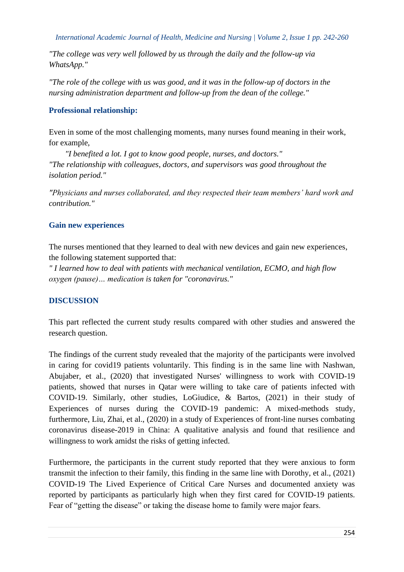*"The college was very well followed by us through the daily and the follow-up via WhatsApp."*

*"The role of the college with us was good, and it was in the follow-up of doctors in the nursing administration department and follow-up from the dean of the college."*

# **Professional relationship:**

Even in some of the most challenging moments, many nurses found meaning in their work, for example,

 *"I benefited a lot. I got to know good people, nurses, and doctors." "The relationship with colleagues, doctors, and supervisors was good throughout the isolation period."*

*"Physicians and nurses collaborated, and they respected their team members' hard work and contribution."*

# **Gain new experiences**

The nurses mentioned that they learned to deal with new devices and gain new experiences, the following statement supported that:

*" I learned how to deal with patients with mechanical ventilation, ECMO, and high flow oxygen (pause)… medication is taken for "coronavirus."*

# **DISCUSSION**

This part reflected the current study results compared with other studies and answered the research question.

The findings of the current study revealed that the majority of the participants were involved in caring for covid19 patients voluntarily. This finding is in the same line with Nashwan, Abujaber, et al., (2020) that investigated Nurses' willingness to work with COVID-19 patients, showed that nurses in Qatar were willing to take care of patients infected with COVID-19. Similarly, other studies, LoGiudice, & Bartos, (2021) in their study of Experiences of nurses during the COVID-19 pandemic: A mixed-methods study, furthermore, Liu, Zhai, et al., (2020) in a study of Experiences of front-line nurses combating coronavirus disease-2019 in China: A qualitative analysis and found that resilience and willingness to work amidst the risks of getting infected.

Furthermore, the participants in the current study reported that they were anxious to form transmit the infection to their family, this finding in the same line with Dorothy, et al., (2021) COVID-19 The Lived Experience of Critical Care Nurses and documented anxiety was reported by participants as particularly high when they first cared for COVID-19 patients. Fear of "getting the disease" or taking the disease home to family were major fears.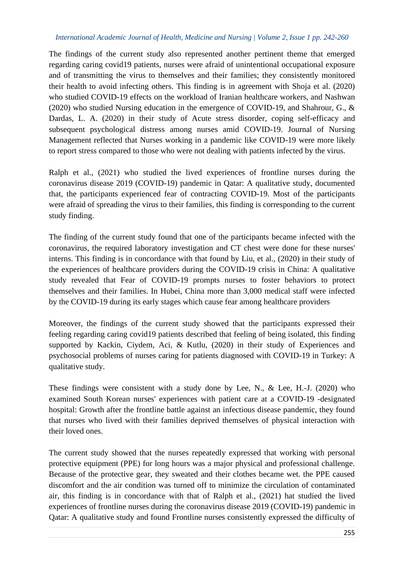The findings of the current study also represented another pertinent theme that emerged regarding caring covid19 patients, nurses were afraid of unintentional occupational exposure and of transmitting the virus to themselves and their families; they consistently monitored their health to avoid infecting others. This finding is in agreement with Shoja et al. (2020) who studied COVID-19 effects on the workload of Iranian healthcare workers, and Nashwan (2020) who studied Nursing education in the emergence of COVID-19, and Shahrour, G., & Dardas, L. A. (2020) in their study of Acute stress disorder, coping self-efficacy and subsequent psychological distress among nurses amid COVID-19. Journal of Nursing Management reflected that Nurses working in a pandemic like COVID-19 were more likely to report stress compared to those who were not dealing with patients infected by the virus.

Ralph et al., (2021) who studied the lived experiences of frontline nurses during the coronavirus disease 2019 (COVID-19) pandemic in Qatar: A qualitative study, documented that, the participants experienced fear of contracting COVID-19. Most of the participants were afraid of spreading the virus to their families, this finding is corresponding to the current study finding.

The finding of the current study found that one of the participants became infected with the coronavirus, the required laboratory investigation and CT chest were done for these nurses' interns. This finding is in concordance with that found by Liu, et al., (2020) in their study of the experiences of healthcare providers during the COVID-19 crisis in China: A qualitative study revealed that Fear of COVID-19 prompts nurses to foster behaviors to protect themselves and their families. In Hubei, China more than 3,000 medical staff were infected by the COVID-19 during its early stages which cause fear among healthcare providers

Moreover, the findings of the current study showed that the participants expressed their feeling regarding caring covid19 patients described that feeling of being isolated, this finding supported by Kackin, Ciydem, Aci, & Kutlu, (2020) in their study of Experiences and psychosocial problems of nurses caring for patients diagnosed with COVID-19 in Turkey: A qualitative study.

These findings were consistent with a study done by Lee, N., & Lee, H.-J. (2020) who examined South Korean nurses' experiences with patient care at a COVID-19 -designated hospital: Growth after the frontline battle against an infectious disease pandemic, they found that nurses who lived with their families deprived themselves of physical interaction with their loved ones.

The current study showed that the nurses repeatedly expressed that working with personal protective equipment (PPE) for long hours was a major physical and professional challenge. Because of the protective gear, they sweated and their clothes became wet. the PPE caused discomfort and the air condition was turned off to minimize the circulation of contaminated air, this finding is in concordance with that of Ralph et al., (2021) hat studied the lived experiences of frontline nurses during the coronavirus disease 2019 (COVID-19) pandemic in Qatar: A qualitative study and found Frontline nurses consistently expressed the difficulty of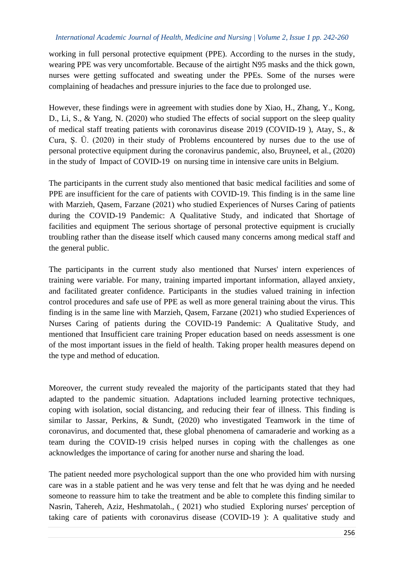working in full personal protective equipment (PPE). According to the nurses in the study, wearing PPE was very uncomfortable. Because of the airtight N95 masks and the thick gown, nurses were getting suffocated and sweating under the PPEs. Some of the nurses were complaining of headaches and pressure injuries to the face due to prolonged use.

However, these findings were in agreement with studies done by Xiao, H., Zhang, Y., Kong, D., Li, S., & Yang, N. (2020) who studied The effects of social support on the sleep quality of medical staff treating patients with coronavirus disease 2019 (COVID-19 ), Atay, S., & Cura, Ş. Ü. (2020) in their study of Problems encountered by nurses due to the use of personal protective equipment during the coronavirus pandemic, also, Bruyneel, et al., (2020) in the study of Impact of COVID-19 on nursing time in intensive care units in Belgium.

The participants in the current study also mentioned that basic medical facilities and some of PPE are insufficient for the care of patients with COVID-19. This finding is in the same line with Marzieh, Qasem, Farzane (2021) who studied Experiences of Nurses Caring of patients during the COVID-19 Pandemic: A Qualitative Study, and indicated that Shortage of facilities and equipment The serious shortage of personal protective equipment is crucially troubling rather than the disease itself which caused many concerns among medical staff and the general public.

The participants in the current study also mentioned that Nurses' intern experiences of training were variable. For many, training imparted important information, allayed anxiety, and facilitated greater confidence. Participants in the studies valued training in infection control procedures and safe use of PPE as well as more general training about the virus. This finding is in the same line with Marzieh, Qasem, Farzane (2021) who studied Experiences of Nurses Caring of patients during the COVID-19 Pandemic: A Qualitative Study, and mentioned that Insufficient care training Proper education based on needs assessment is one of the most important issues in the field of health. Taking proper health measures depend on the type and method of education.

Moreover, the current study revealed the majority of the participants stated that they had adapted to the pandemic situation. Adaptations included learning protective techniques, coping with isolation, social distancing, and reducing their fear of illness. This finding is similar to Jassar, Perkins, & Sundt, (2020) who investigated Teamwork in the time of coronavirus, and documented that, these global phenomena of camaraderie and working as a team during the COVID-19 crisis helped nurses in coping with the challenges as one acknowledges the importance of caring for another nurse and sharing the load.

The patient needed more psychological support than the one who provided him with nursing care was in a stable patient and he was very tense and felt that he was dying and he needed someone to reassure him to take the treatment and be able to complete this finding similar to Nasrin, Tahereh, Aziz, Heshmatolah., ( 2021) who studied Exploring nurses' perception of taking care of patients with coronavirus disease (COVID-19 ): A qualitative study and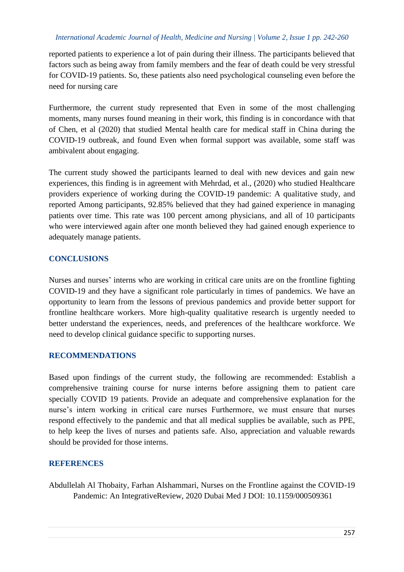reported patients to experience a lot of pain during their illness. The participants believed that factors such as being away from family members and the fear of death could be very stressful for COVID-19 patients. So, these patients also need psychological counseling even before the need for nursing care

Furthermore, the current study represented that Even in some of the most challenging moments, many nurses found meaning in their work, this finding is in concordance with that of Chen, et al (2020) that studied Mental health care for medical staff in China during the COVID-19 outbreak, and found Even when formal support was available, some staff was ambivalent about engaging.

The current study showed the participants learned to deal with new devices and gain new experiences, this finding is in agreement with Mehrdad, et al., (2020) who studied Healthcare providers experience of working during the COVID-19 pandemic: A qualitative study, and reported Among participants, 92.85% believed that they had gained experience in managing patients over time. This rate was 100 percent among physicians, and all of 10 participants who were interviewed again after one month believed they had gained enough experience to adequately manage patients.

#### **CONCLUSIONS**

Nurses and nurses' interns who are working in critical care units are on the frontline fighting COVID-19 and they have a significant role particularly in times of pandemics. We have an opportunity to learn from the lessons of previous pandemics and provide better support for frontline healthcare workers. More high-quality qualitative research is urgently needed to better understand the experiences, needs, and preferences of the healthcare workforce. We need to develop clinical guidance specific to supporting nurses.

#### **RECOMMENDATIONS**

Based upon findings of the current study, the following are recommended: Establish a comprehensive training course for nurse interns before assigning them to patient care specially COVID 19 patients. Provide an adequate and comprehensive explanation for the nurse's intern working in critical care nurses Furthermore, we must ensure that nurses respond effectively to the pandemic and that all medical supplies be available, such as PPE, to help keep the lives of nurses and patients safe. Also, appreciation and valuable rewards should be provided for those interns.

#### **REFERENCES**

Abdullelah Al Thobaity, Farhan Alshammari, Nurses on the Frontline against the COVID-19 Pandemic: An IntegrativeReview, 2020 Dubai Med J DOI: 10.1159/000509361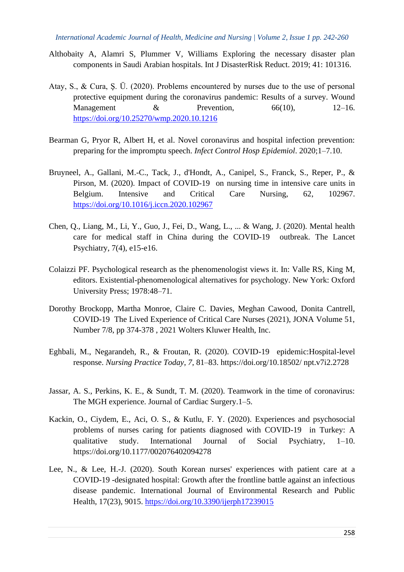- Althobaity A, Alamri S, Plummer V, Williams Exploring the necessary disaster plan components in Saudi Arabian hospitals. Int J DisasterRisk Reduct. 2019; 41: 101316.
- Atay, S., & Cura, Ş. Ü. (2020). Problems encountered by nurses due to the use of personal protective equipment during the coronavirus pandemic: Results of a survey. Wound Management  $\&$  Prevention,  $66(10)$ ,  $12-16$ . <https://doi.org/10.25270/wmp.2020.10.1216>
- Bearman G, Pryor R, Albert H, et al. Novel coronavirus and hospital infection prevention: preparing for the impromptu speech. *Infect Control Hosp Epidemiol*. 2020;1–7.10.
- Bruyneel, A., Gallani, M.-C., Tack, J., d'Hondt, A., Canipel, S., Franck, S., Reper, P., & Pirson, M. (2020). Impact of COVID-19 on nursing time in intensive care units in Belgium. Intensive and Critical Care Nursing, 62, 102967. <https://doi.org/10.1016/j.iccn.2020.102967>
- Chen, Q., Liang, M., Li, Y., Guo, J., Fei, D., Wang, L., ... & Wang, J. (2020). Mental health care for medical staff in China during the COVID-19 outbreak. The Lancet Psychiatry, 7(4), e15-e16.
- Colaizzi PF. Psychological research as the phenomenologist views it. In: Valle RS, King M, editors. Existential-phenomenological alternatives for psychology. New York: Oxford University Press; 1978:48–71.
- Dorothy Brockopp, Martha Monroe, Claire C. Davies, Meghan Cawood, Donita Cantrell, COVID-19 The Lived Experience of Critical Care Nurses (2021), JONA Volume 51, Number 7/8, pp 374-378 , 2021 Wolters Kluwer Health, Inc.
- Eghbali, M., Negarandeh, R., & Froutan, R. (2020). COVID-19 epidemic:Hospital-level response. *Nursing Practice Today*, *7*, 81–83. https://doi.org/10.18502/ npt.v7i2.2728
- Jassar, A. S., Perkins, K. E., & Sundt, T. M. (2020). Teamwork in the time of coronavirus: The MGH experience. Journal of Cardiac Surgery.1–5.
- Kackin, O., Ciydem, E., Aci, O. S., & Kutlu, F. Y. (2020). Experiences and psychosocial problems of nurses caring for patients diagnosed with COVID-19 in Turkey: A qualitative study. International Journal of Social Psychiatry, 1–10. https://doi.org/10.1177/002076402094278
- Lee, N., & Lee, H.-J. (2020). South Korean nurses' experiences with patient care at a COVID-19 -designated hospital: Growth after the frontline battle against an infectious disease pandemic. International Journal of Environmental Research and Public Health, 17(23), 9015.<https://doi.org/10.3390/ijerph17239015>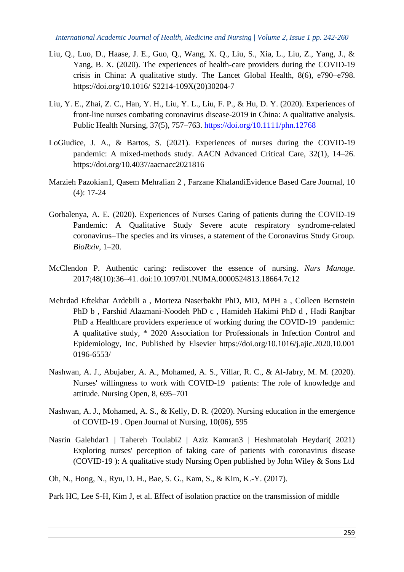- Liu, Q., Luo, D., Haase, J. E., Guo, Q., Wang, X. Q., Liu, S., Xia, L., Liu, Z., Yang, J., & Yang, B. X. (2020). The experiences of health-care providers during the COVID-19 crisis in China: A qualitative study. The Lancet Global Health, 8(6), e790–e798. https://doi.org/10.1016/ S2214-109X(20)30204-7
- Liu, Y. E., Zhai, Z. C., Han, Y. H., Liu, Y. L., Liu, F. P., & Hu, D. Y. (2020). Experiences of front-line nurses combating coronavirus disease-2019 in China: A qualitative analysis. Public Health Nursing, 37(5), 757–763.<https://doi.org/10.1111/phn.12768>
- LoGiudice, J. A., & Bartos, S. (2021). Experiences of nurses during the COVID-19 pandemic: A mixed-methods study. AACN Advanced Critical Care, 32(1), 14–26. https://doi.org/10.4037/aacnacc2021816
- Marzieh Pazokian1, Qasem Mehralian 2 , Farzane KhalandiEvidence Based Care Journal, 10 (4): 17-24
- Gorbalenya, A. E. (2020). Experiences of Nurses Caring of patients during the COVID-19 Pandemic: A Qualitative Study Severe acute respiratory syndrome-related coronavirus–The species and its viruses, a statement of the Coronavirus Study Group. *BioRxiv*, 1–20.
- McClendon P. Authentic caring: rediscover the essence of nursing. *Nurs Manage*. 2017;48(10):36–41. doi:10.1097/01.NUMA.0000524813.18664.7c12
- Mehrdad Eftekhar Ardebili a , Morteza Naserbakht PhD, MD, MPH a , Colleen Bernstein PhD b , Farshid Alazmani-Noodeh PhD c , Hamideh Hakimi PhD d , Hadi Ranjbar PhD a Healthcare providers experience of working during the COVID-19 pandemic: A qualitative study, \* 2020 Association for Professionals in Infection Control and Epidemiology, Inc. Published by Elsevier https://doi.org/10.1016/j.ajic.2020.10.001 0196-6553/
- Nashwan, A. J., Abujaber, A. A., Mohamed, A. S., Villar, R. C., & Al-Jabry, M. M. (2020). Nurses' willingness to work with COVID-19 patients: The role of knowledge and attitude. Nursing Open, 8, 695–701
- Nashwan, A. J., Mohamed, A. S., & Kelly, D. R. (2020). Nursing education in the emergence of COVID-19 . Open Journal of Nursing, 10(06), 595
- Nasrin Galehdar1 | Tahereh Toulabi2 | Aziz Kamran3 | Heshmatolah Heydari( 2021) Exploring nurses' perception of taking care of patients with coronavirus disease (COVID-19 ): A qualitative study Nursing Open published by John Wiley & Sons Ltd
- Oh, N., Hong, N., Ryu, D. H., Bae, S. G., Kam, S., & Kim, K.-Y. (2017).

Park HC, Lee S-H, Kim J, et al. Effect of isolation practice on the transmission of middle